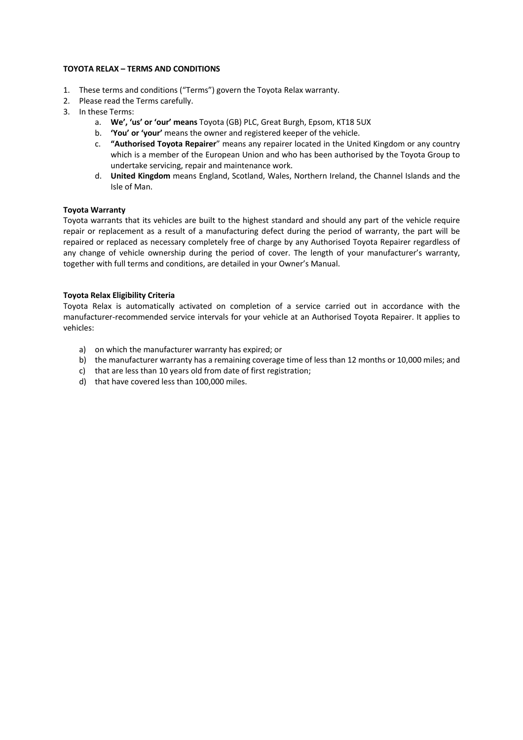#### **TOYOTA RELAX – TERMS AND CONDITIONS**

- 1. These terms and conditions ("Terms") govern the Toyota Relax warranty.
- 2. Please read the Terms carefully.
- 3. In these Terms:
	- a. **We', 'us' or 'our' means** Toyota (GB) PLC, Great Burgh, Epsom, KT18 5UX
		- b. **'You' or 'your'** means the owner and registered keeper of the vehicle.
		- c. **"Authorised Toyota Repairer**" means any repairer located in the United Kingdom or any country which is a member of the European Union and who has been authorised by the Toyota Group to undertake servicing, repair and maintenance work.
		- d. **United Kingdom** means England, Scotland, Wales, Northern Ireland, the Channel Islands and the Isle of Man.

### **Toyota Warranty**

Toyota warrants that its vehicles are built to the highest standard and should any part of the vehicle require repair or replacement as a result of a manufacturing defect during the period of warranty, the part will be repaired or replaced as necessary completely free of charge by any Authorised Toyota Repairer regardless of any change of vehicle ownership during the period of cover. The length of your manufacturer's warranty, together with full terms and conditions, are detailed in your Owner's Manual.

### **Toyota Relax Eligibility Criteria**

Toyota Relax is automatically activated on completion of a service carried out in accordance with the manufacturer-recommended service intervals for your vehicle at an Authorised Toyota Repairer. It applies to vehicles:

- a) on which the manufacturer warranty has expired; or
- b) the manufacturer warranty has a remaining coverage time of less than 12 months or 10,000 miles; and
- c) that are less than 10 years old from date of first registration;
- d) that have covered less than 100,000 miles.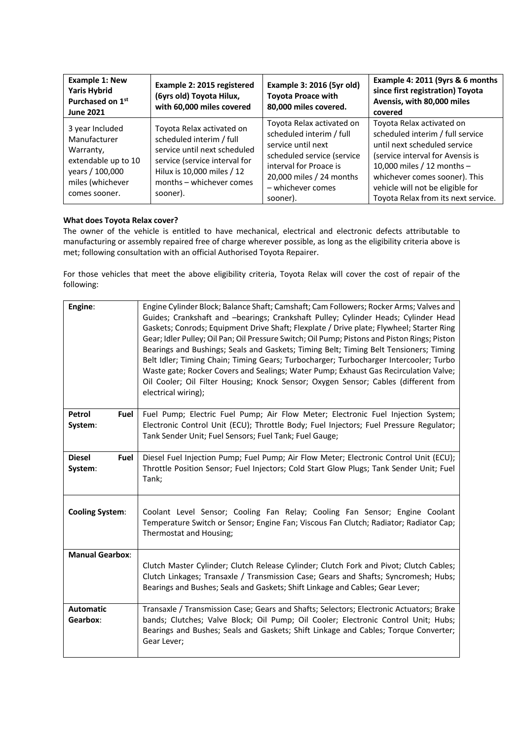| <b>Example 1: New</b><br><b>Yaris Hybrid</b><br>Purchased on 1st<br><b>June 2021</b>                                        | Example 2: 2015 registered<br>(6yrs old) Toyota Hilux,<br>with 60,000 miles covered                                                                                                          | Example 3: 2016 (5yr old)<br><b>Toyota Proace with</b><br>80,000 miles covered.                                                                                                                  | Example 4: 2011 (9yrs & 6 months<br>since first registration) Toyota<br>Avensis, with 80,000 miles<br>covered                                                                                                                                                               |
|-----------------------------------------------------------------------------------------------------------------------------|----------------------------------------------------------------------------------------------------------------------------------------------------------------------------------------------|--------------------------------------------------------------------------------------------------------------------------------------------------------------------------------------------------|-----------------------------------------------------------------------------------------------------------------------------------------------------------------------------------------------------------------------------------------------------------------------------|
| 3 year Included<br>Manufacturer<br>Warranty,<br>extendable up to 10<br>years / 100,000<br>miles (whichever<br>comes sooner. | Toyota Relax activated on<br>scheduled interim / full<br>service until next scheduled<br>service (service interval for<br>Hilux is 10,000 miles / 12<br>months - whichever comes<br>sooner). | Toyota Relax activated on<br>scheduled interim / full<br>service until next<br>scheduled service (service<br>interval for Proace is<br>20,000 miles / 24 months<br>- whichever comes<br>sooner). | Toyota Relax activated on<br>scheduled interim / full service<br>until next scheduled service<br>(service interval for Avensis is<br>10,000 miles / 12 months -<br>whichever comes sooner). This<br>vehicle will not be eligible for<br>Toyota Relax from its next service. |

## **What does Toyota Relax cover?**

The owner of the vehicle is entitled to have mechanical, electrical and electronic defects attributable to manufacturing or assembly repaired free of charge wherever possible, as long as the eligibility criteria above is met; following consultation with an official Authorised Toyota Repairer.

For those vehicles that meet the above eligibility criteria, Toyota Relax will cover the cost of repair of the following:

| Engine:                          | Engine Cylinder Block; Balance Shaft; Camshaft; Cam Followers; Rocker Arms; Valves and<br>Guides; Crankshaft and -bearings; Crankshaft Pulley; Cylinder Heads; Cylinder Head<br>Gaskets; Conrods; Equipment Drive Shaft; Flexplate / Drive plate; Flywheel; Starter Ring<br>Gear; Idler Pulley; Oil Pan; Oil Pressure Switch; Oil Pump; Pistons and Piston Rings; Piston<br>Bearings and Bushings; Seals and Gaskets; Timing Belt; Timing Belt Tensioners; Timing<br>Belt Idler; Timing Chain; Timing Gears; Turbocharger; Turbocharger Intercooler; Turbo<br>Waste gate; Rocker Covers and Sealings; Water Pump; Exhaust Gas Recirculation Valve;<br>Oil Cooler; Oil Filter Housing; Knock Sensor; Oxygen Sensor; Cables (different from<br>electrical wiring); |
|----------------------------------|------------------------------------------------------------------------------------------------------------------------------------------------------------------------------------------------------------------------------------------------------------------------------------------------------------------------------------------------------------------------------------------------------------------------------------------------------------------------------------------------------------------------------------------------------------------------------------------------------------------------------------------------------------------------------------------------------------------------------------------------------------------|
| Petrol<br>Fuel<br>System:        | Fuel Pump; Electric Fuel Pump; Air Flow Meter; Electronic Fuel Injection System;<br>Electronic Control Unit (ECU); Throttle Body; Fuel Injectors; Fuel Pressure Regulator;<br>Tank Sender Unit; Fuel Sensors; Fuel Tank; Fuel Gauge;                                                                                                                                                                                                                                                                                                                                                                                                                                                                                                                             |
| <b>Diesel</b><br>Fuel<br>System: | Diesel Fuel Injection Pump; Fuel Pump; Air Flow Meter; Electronic Control Unit (ECU);<br>Throttle Position Sensor; Fuel Injectors; Cold Start Glow Plugs; Tank Sender Unit; Fuel<br>Tank;                                                                                                                                                                                                                                                                                                                                                                                                                                                                                                                                                                        |
| <b>Cooling System:</b>           | Coolant Level Sensor; Cooling Fan Relay; Cooling Fan Sensor; Engine Coolant<br>Temperature Switch or Sensor; Engine Fan; Viscous Fan Clutch; Radiator; Radiator Cap;<br>Thermostat and Housing;                                                                                                                                                                                                                                                                                                                                                                                                                                                                                                                                                                  |
| <b>Manual Gearbox:</b>           | Clutch Master Cylinder; Clutch Release Cylinder; Clutch Fork and Pivot; Clutch Cables;<br>Clutch Linkages; Transaxle / Transmission Case; Gears and Shafts; Syncromesh; Hubs;<br>Bearings and Bushes; Seals and Gaskets; Shift Linkage and Cables; Gear Lever;                                                                                                                                                                                                                                                                                                                                                                                                                                                                                                   |
| <b>Automatic</b><br>Gearbox:     | Transaxle / Transmission Case; Gears and Shafts; Selectors; Electronic Actuators; Brake<br>bands; Clutches; Valve Block; Oil Pump; Oil Cooler; Electronic Control Unit; Hubs;<br>Bearings and Bushes; Seals and Gaskets; Shift Linkage and Cables; Torque Converter;<br>Gear Lever;                                                                                                                                                                                                                                                                                                                                                                                                                                                                              |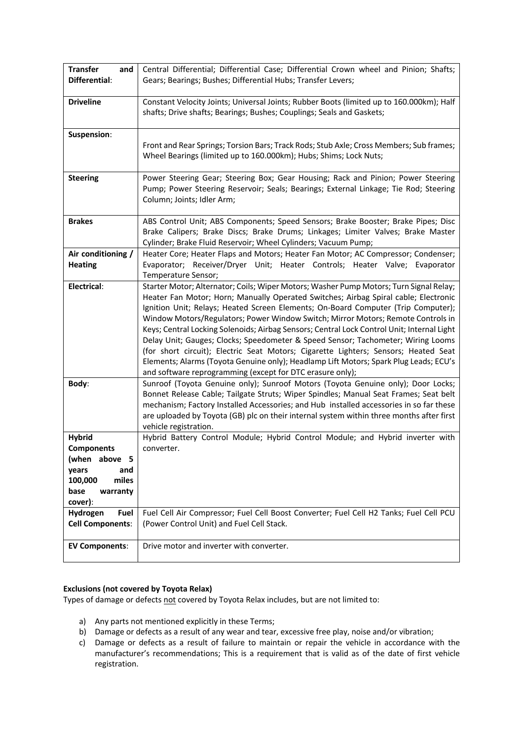| <b>Transfer</b><br>and  | Central Differential; Differential Case; Differential Crown wheel and Pinion; Shafts;      |  |  |
|-------------------------|--------------------------------------------------------------------------------------------|--|--|
| Differential:           | Gears; Bearings; Bushes; Differential Hubs; Transfer Levers;                               |  |  |
|                         |                                                                                            |  |  |
| <b>Driveline</b>        | Constant Velocity Joints; Universal Joints; Rubber Boots (limited up to 160.000km); Half   |  |  |
|                         | shafts; Drive shafts; Bearings; Bushes; Couplings; Seals and Gaskets;                      |  |  |
|                         |                                                                                            |  |  |
| Suspension:             |                                                                                            |  |  |
|                         | Front and Rear Springs; Torsion Bars; Track Rods; Stub Axle; Cross Members; Sub frames;    |  |  |
|                         | Wheel Bearings (limited up to 160.000km); Hubs; Shims; Lock Nuts;                          |  |  |
|                         |                                                                                            |  |  |
| <b>Steering</b>         | Power Steering Gear; Steering Box; Gear Housing; Rack and Pinion; Power Steering           |  |  |
|                         |                                                                                            |  |  |
|                         | Pump; Power Steering Reservoir; Seals; Bearings; External Linkage; Tie Rod; Steering       |  |  |
|                         | Column; Joints; Idler Arm;                                                                 |  |  |
|                         |                                                                                            |  |  |
| <b>Brakes</b>           | ABS Control Unit; ABS Components; Speed Sensors; Brake Booster; Brake Pipes; Disc          |  |  |
|                         | Brake Calipers; Brake Discs; Brake Drums; Linkages; Limiter Valves; Brake Master           |  |  |
|                         | Cylinder; Brake Fluid Reservoir; Wheel Cylinders; Vacuum Pump;                             |  |  |
| Air conditioning /      | Heater Core; Heater Flaps and Motors; Heater Fan Motor; AC Compressor; Condenser;          |  |  |
| <b>Heating</b>          | Evaporator; Receiver/Dryer Unit; Heater Controls; Heater Valve; Evaporator                 |  |  |
|                         | Temperature Sensor;                                                                        |  |  |
| Electrical:             | Starter Motor; Alternator; Coils; Wiper Motors; Washer Pump Motors; Turn Signal Relay;     |  |  |
|                         | Heater Fan Motor; Horn; Manually Operated Switches; Airbag Spiral cable; Electronic        |  |  |
|                         | Ignition Unit; Relays; Heated Screen Elements; On-Board Computer (Trip Computer);          |  |  |
|                         | Window Motors/Regulators; Power Window Switch; Mirror Motors; Remote Controls in           |  |  |
|                         | Keys; Central Locking Solenoids; Airbag Sensors; Central Lock Control Unit; Internal Light |  |  |
|                         | Delay Unit; Gauges; Clocks; Speedometer & Speed Sensor; Tachometer; Wiring Looms           |  |  |
|                         | (for short circuit); Electric Seat Motors; Cigarette Lighters; Sensors; Heated Seat        |  |  |
|                         | Elements; Alarms (Toyota Genuine only); Headlamp Lift Motors; Spark Plug Leads; ECU's      |  |  |
|                         | and software reprogramming (except for DTC erasure only);                                  |  |  |
| Body:                   | Sunroof (Toyota Genuine only); Sunroof Motors (Toyota Genuine only); Door Locks;           |  |  |
|                         | Bonnet Release Cable; Tailgate Struts; Wiper Spindles; Manual Seat Frames; Seat belt       |  |  |
|                         | mechanism; Factory Installed Accessories; and Hub installed accessories in so far these    |  |  |
|                         | are uploaded by Toyota (GB) plc on their internal system within three months after first   |  |  |
|                         | vehicle registration.                                                                      |  |  |
| <b>Hybrid</b>           | Hybrid Battery Control Module; Hybrid Control Module; and Hybrid inverter with             |  |  |
| <b>Components</b>       | converter.                                                                                 |  |  |
| (when above 5           |                                                                                            |  |  |
| years<br>and            |                                                                                            |  |  |
| 100,000<br>miles        |                                                                                            |  |  |
| base                    |                                                                                            |  |  |
| warranty                |                                                                                            |  |  |
| cover):                 |                                                                                            |  |  |
| Hydrogen<br>Fuel        | Fuel Cell Air Compressor; Fuel Cell Boost Converter; Fuel Cell H2 Tanks; Fuel Cell PCU     |  |  |
| <b>Cell Components:</b> | (Power Control Unit) and Fuel Cell Stack.                                                  |  |  |
|                         |                                                                                            |  |  |
| <b>EV Components:</b>   | Drive motor and inverter with converter.                                                   |  |  |
|                         |                                                                                            |  |  |

# **Exclusions (not covered by Toyota Relax)**

Types of damage or defects not covered by Toyota Relax includes, but are not limited to:

- a) Any parts not mentioned explicitly in these Terms;
- b) Damage or defects as a result of any wear and tear, excessive free play, noise and/or vibration;
- c) Damage or defects as a result of failure to maintain or repair the vehicle in accordance with the manufacturer's recommendations; This is a requirement that is valid as of the date of first vehicle registration.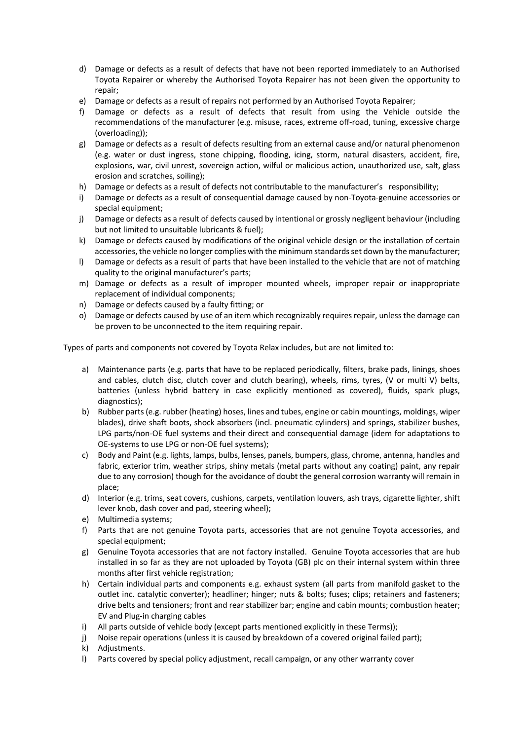- d) Damage or defects as a result of defects that have not been reported immediately to an Authorised Toyota Repairer or whereby the Authorised Toyota Repairer has not been given the opportunity to repair;
- e) Damage or defects as a result of repairs not performed by an Authorised Toyota Repairer;
- f) Damage or defects as a result of defects that result from using the Vehicle outside the recommendations of the manufacturer (e.g. misuse, races, extreme off-road, tuning, excessive charge (overloading));
- g) Damage or defects as a result of defects resulting from an external cause and/or natural phenomenon (e.g. water or dust ingress, stone chipping, flooding, icing, storm, natural disasters, accident, fire, explosions, war, civil unrest, sovereign action, wilful or malicious action, unauthorized use, salt, glass erosion and scratches, soiling);
- h) Damage or defects as a result of defects not contributable to the manufacturer's responsibility;
- i) Damage or defects as a result of consequential damage caused by non-Toyota-genuine accessories or special equipment;
- j) Damage or defects as a result of defects caused by intentional or grossly negligent behaviour (including but not limited to unsuitable lubricants & fuel);
- k) Damage or defects caused by modifications of the original vehicle design or the installation of certain accessories, the vehicle no longer complies with the minimum standards set down by the manufacturer;
- l) Damage or defects as a result of parts that have been installed to the vehicle that are not of matching quality to the original manufacturer's parts;
- m) Damage or defects as a result of improper mounted wheels, improper repair or inappropriate replacement of individual components;
- n) Damage or defects caused by a faulty fitting; or
- o) Damage or defects caused by use of an item which recognizably requires repair, unless the damage can be proven to be unconnected to the item requiring repair.

Types of parts and components not covered by Toyota Relax includes, but are not limited to:

- a) Maintenance parts (e.g. parts that have to be replaced periodically, filters, brake pads, linings, shoes and cables, clutch disc, clutch cover and clutch bearing), wheels, rims, tyres, (V or multi V) belts, batteries (unless hybrid battery in case explicitly mentioned as covered), fluids, spark plugs, diagnostics);
- b) Rubber parts (e.g. rubber (heating) hoses, lines and tubes, engine or cabin mountings, moldings, wiper blades), drive shaft boots, shock absorbers (incl. pneumatic cylinders) and springs, stabilizer bushes, LPG parts/non-OE fuel systems and their direct and consequential damage (idem for adaptations to OE-systems to use LPG or non-OE fuel systems);
- c) Body and Paint (e.g. lights, lamps, bulbs, lenses, panels, bumpers, glass, chrome, antenna, handles and fabric, exterior trim, weather strips, shiny metals (metal parts without any coating) paint, any repair due to any corrosion) though for the avoidance of doubt the general corrosion warranty will remain in place;
- d) Interior (e.g. trims, seat covers, cushions, carpets, ventilation louvers, ash trays, cigarette lighter, shift lever knob, dash cover and pad, steering wheel);
- e) Multimedia systems;
- f) Parts that are not genuine Toyota parts, accessories that are not genuine Toyota accessories, and special equipment;
- g) Genuine Toyota accessories that are not factory installed. Genuine Toyota accessories that are hub installed in so far as they are not uploaded by Toyota (GB) plc on their internal system within three months after first vehicle registration;
- h) Certain individual parts and components e.g. exhaust system (all parts from manifold gasket to the outlet inc. catalytic converter); headliner; hinger; nuts & bolts; fuses; clips; retainers and fasteners; drive belts and tensioners; front and rear stabilizer bar; engine and cabin mounts; combustion heater; EV and Plug-in charging cables
- i) All parts outside of vehicle body (except parts mentioned explicitly in these Terms));
- j) Noise repair operations (unless it is caused by breakdown of a covered original failed part);
- k) Adjustments.
- l) Parts covered by special policy adjustment, recall campaign, or any other warranty cover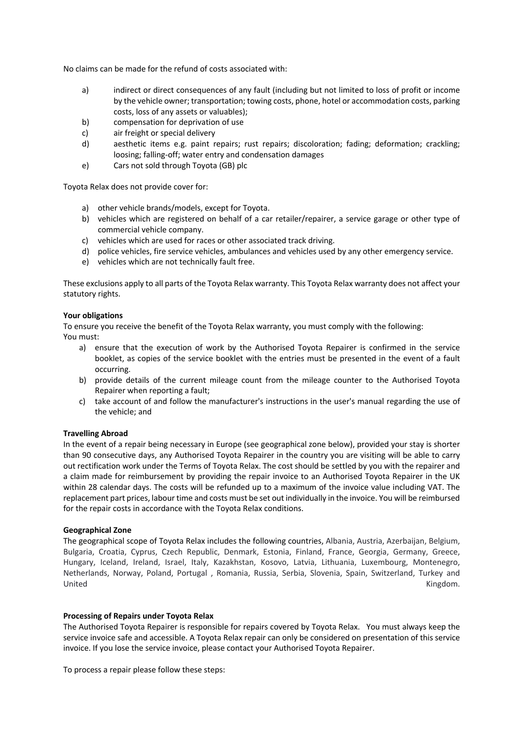No claims can be made for the refund of costs associated with:

- a) indirect or direct consequences of any fault (including but not limited to loss of profit or income by the vehicle owner; transportation; towing costs, phone, hotel or accommodation costs, parking costs, loss of any assets or valuables);
- b) compensation for deprivation of use
- c) air freight or special delivery
- d) aesthetic items e.g. paint repairs; rust repairs; discoloration; fading; deformation; crackling; loosing; falling-off; water entry and condensation damages
- e) Cars not sold through Toyota (GB) plc

Toyota Relax does not provide cover for:

- a) other vehicle brands/models, except for Toyota.
- b) vehicles which are registered on behalf of a car retailer/repairer, a service garage or other type of commercial vehicle company.
- c) vehicles which are used for races or other associated track driving.
- d) police vehicles, fire service vehicles, ambulances and vehicles used by any other emergency service.
- e) vehicles which are not technically fault free.

These exclusions apply to all parts of the Toyota Relax warranty. This Toyota Relax warranty does not affect your statutory rights.

### **Your obligations**

To ensure you receive the benefit of the Toyota Relax warranty, you must comply with the following: You must:

- a) ensure that the execution of work by the Authorised Toyota Repairer is confirmed in the service booklet, as copies of the service booklet with the entries must be presented in the event of a fault occurring.
- b) provide details of the current mileage count from the mileage counter to the Authorised Toyota Repairer when reporting a fault;
- c) take account of and follow the manufacturer's instructions in the user's manual regarding the use of the vehicle; and

### **Travelling Abroad**

In the event of a repair being necessary in Europe (see geographical zone below), provided your stay is shorter than 90 consecutive days, any Authorised Toyota Repairer in the country you are visiting will be able to carry out rectification work under the Terms of Toyota Relax. The cost should be settled by you with the repairer and a claim made for reimbursement by providing the repair invoice to an Authorised Toyota Repairer in the UK within 28 calendar days. The costs will be refunded up to a maximum of the invoice value including VAT. The replacement part prices, labour time and costs must be set out individually in the invoice. You will be reimbursed for the repair costs in accordance with the Toyota Relax conditions.

### **Geographical Zone**

The geographical scope of Toyota Relax includes the following countries, Albania, Austria, Azerbaijan, Belgium, Bulgaria, Croatia, Cyprus, Czech Republic, Denmark, Estonia, Finland, France, Georgia, Germany, Greece, Hungary, Iceland, Ireland, Israel, Italy, Kazakhstan, Kosovo, Latvia, Lithuania, Luxembourg, Montenegro, Netherlands, Norway, Poland, Portugal , Romania, Russia, Serbia, Slovenia, Spain, Switzerland, Turkey and United Kingdom.

#### **Processing of Repairs under Toyota Relax**

The Authorised Toyota Repairer is responsible for repairs covered by Toyota Relax. You must always keep the service invoice safe and accessible. A Toyota Relax repair can only be considered on presentation of this service invoice. If you lose the service invoice, please contact your Authorised Toyota Repairer.

To process a repair please follow these steps: